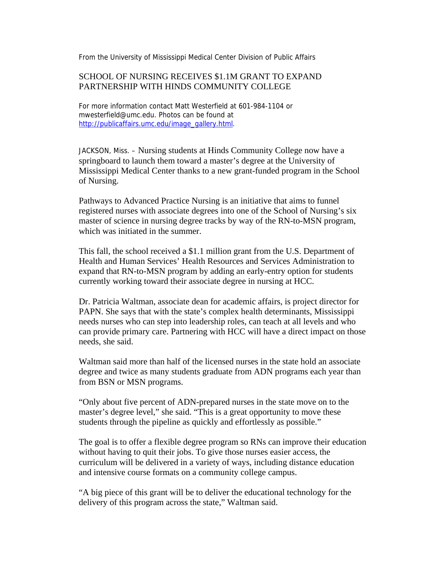From the University of Mississippi Medical Center Division of Public Affairs

## SCHOOL OF NURSING RECEIVES \$1.1M GRANT TO EXPAND PARTNERSHIP WITH HINDS COMMUNITY COLLEGE

For more information contact Matt Westerfield at 601-984-1104 or mwesterfield@umc.edu. Photos can be found at http://publicaffairs.umc.edu/image\_gallery.html.

JACKSON, Miss. – Nursing students at Hinds Community College now have a springboard to launch them toward a master's degree at the University of Mississippi Medical Center thanks to a new grant-funded program in the School of Nursing.

Pathways to Advanced Practice Nursing is an initiative that aims to funnel registered nurses with associate degrees into one of the School of Nursing's six master of science in nursing degree tracks by way of the RN-to-MSN program, which was initiated in the summer.

This fall, the school received a \$1.1 million grant from the U.S. Department of Health and Human Services' Health Resources and Services Administration to expand that RN-to-MSN program by adding an early-entry option for students currently working toward their associate degree in nursing at HCC.

Dr. Patricia Waltman, associate dean for academic affairs, is project director for PAPN. She says that with the state's complex health determinants, Mississippi needs nurses who can step into leadership roles, can teach at all levels and who can provide primary care. Partnering with HCC will have a direct impact on those needs, she said.

Waltman said more than half of the licensed nurses in the state hold an associate degree and twice as many students graduate from ADN programs each year than from BSN or MSN programs.

"Only about five percent of ADN-prepared nurses in the state move on to the master's degree level," she said. "This is a great opportunity to move these students through the pipeline as quickly and effortlessly as possible."

The goal is to offer a flexible degree program so RNs can improve their education without having to quit their jobs. To give those nurses easier access, the curriculum will be delivered in a variety of ways, including distance education and intensive course formats on a community college campus.

"A big piece of this grant will be to deliver the educational technology for the delivery of this program across the state," Waltman said.